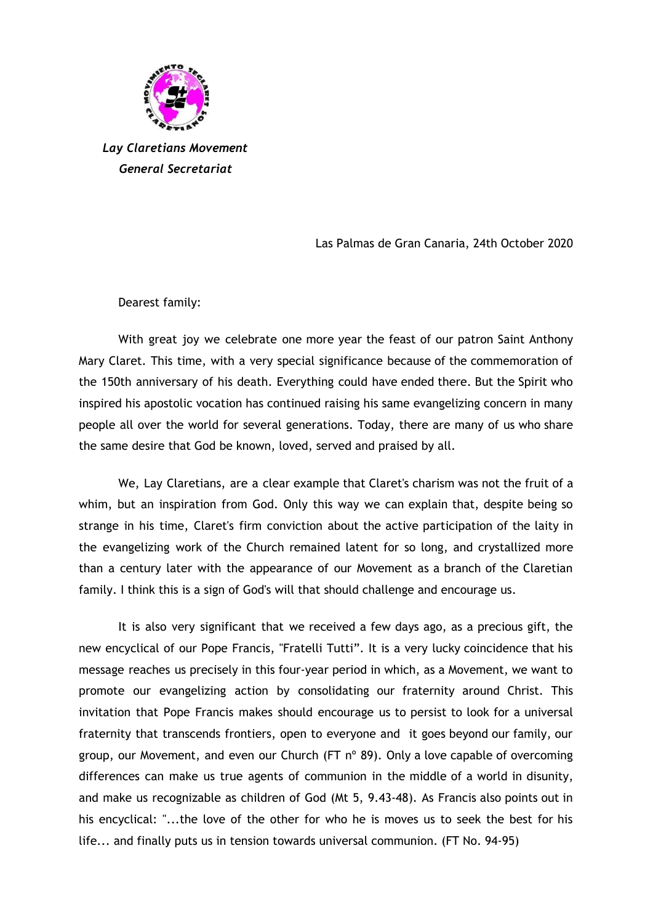

*Lay Claretians Movement General Secretariat*

Las Palmas de Gran Canaria, 24th October 2020

Dearest family:

With great joy we celebrate one more year the feast of our patron Saint Anthony Mary Claret. This time, with a very special significance because of the commemoration of the 150th anniversary of his death. Everything could have ended there. But the Spirit who inspired his apostolic vocation has continued raising his same evangelizing concern in many people all over the world for several generations. Today, there are many of us who share the same desire that God be known, loved, served and praised by all.

We, Lay Claretians, are a clear example that Claret's charism was not the fruit of a whim, but an inspiration from God. Only this way we can explain that, despite being so strange in his time, Claret's firm conviction about the active participation of the laity in the evangelizing work of the Church remained latent for so long, and crystallized more than a century later with the appearance of our Movement as a branch of the Claretian family. I think this is a sign of God's will that should challenge and encourage us.

It is also very significant that we received a few days ago, as a precious gift, the new encyclical of our Pope Francis, "Fratelli Tutti". It is a very lucky coincidence that his message reaches us precisely in this four-year period in which, as a Movement, we want to promote our evangelizing action by consolidating our fraternity around Christ. This invitation that Pope Francis makes should encourage us to persist to look for a universal fraternity that transcends frontiers, open to everyone and it goes beyond our family, our group, our Movement, and even our Church (FT  $n^{\circ}$  89). Only a love capable of overcoming differences can make us true agents of communion in the middle of a world in disunity, and make us recognizable as children of God (Mt 5, 9.43-48). As Francis also points out in his encyclical: "...the love of the other for who he is moves us to seek the best for his life... and finally puts us in tension towards universal communion. (FT No. 94-95)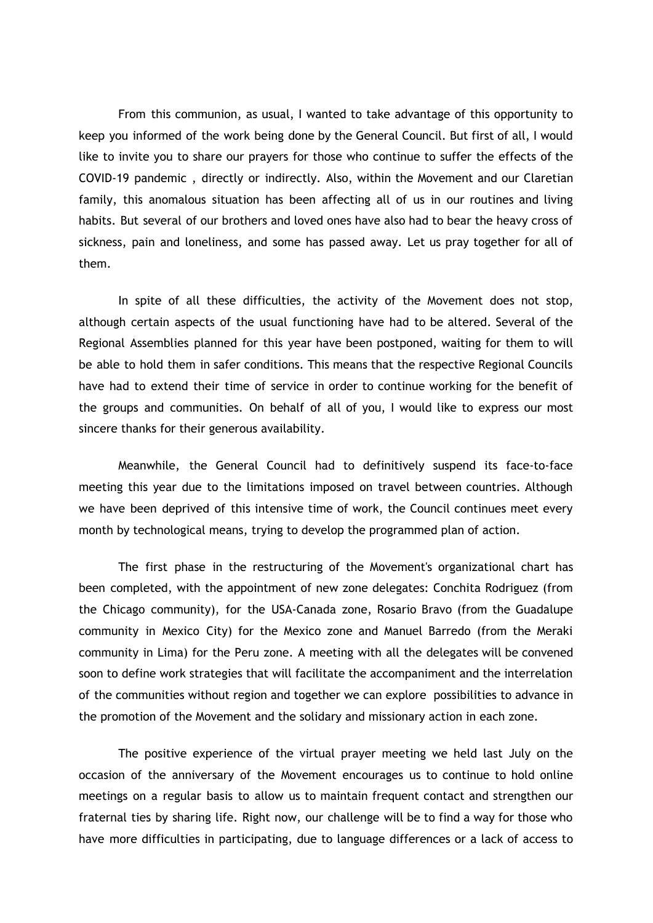From this communion, as usual, I wanted to take advantage of this opportunity to keep you informed of the work being done by the General Council. But first of all, I would like to invite you to share our prayers for those who continue to suffer the effects of the COVID-19 pandemic , directly or indirectly. Also, within the Movement and our Claretian family, this anomalous situation has been affecting all of us in our routines and living habits. But several of our brothers and loved ones have also had to bear the heavy cross of sickness, pain and loneliness, and some has passed away. Let us pray together for all of them.

In spite of all these difficulties, the activity of the Movement does not stop, although certain aspects of the usual functioning have had to be altered. Several of the Regional Assemblies planned for this year have been postponed, waiting for them to will be able to hold them in safer conditions. This means that the respective Regional Councils have had to extend their time of service in order to continue working for the benefit of the groups and communities. On behalf of all of you, I would like to express our most sincere thanks for their generous availability.

Meanwhile, the General Council had to definitively suspend its face-to-face meeting this year due to the limitations imposed on travel between countries. Although we have been deprived of this intensive time of work, the Council continues meet every month by technological means, trying to develop the programmed plan of action.

The first phase in the restructuring of the Movement's organizational chart has been completed, with the appointment of new zone delegates: Conchita Rodriguez (from the Chicago community), for the USA-Canada zone, Rosario Bravo (from the Guadalupe community in Mexico City) for the Mexico zone and Manuel Barredo (from the Meraki community in Lima) for the Peru zone. A meeting with all the delegates will be convened soon to define work strategies that will facilitate the accompaniment and the interrelation of the communities without region and together we can explore possibilities to advance in the promotion of the Movement and the solidary and missionary action in each zone.

The positive experience of the virtual prayer meeting we held last July on the occasion of the anniversary of the Movement encourages us to continue to hold online meetings on a regular basis to allow us to maintain frequent contact and strengthen our fraternal ties by sharing life. Right now, our challenge will be to find a way for those who have more difficulties in participating, due to language differences or a lack of access to